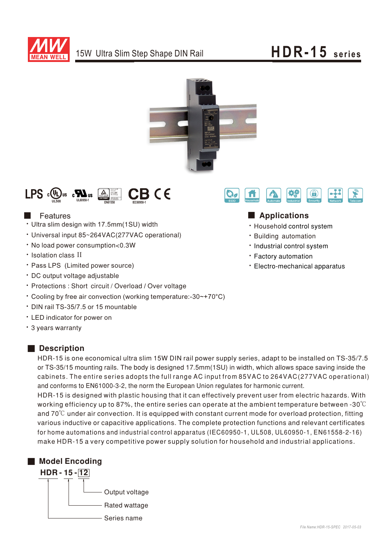





## Features

- Ultra slim design with 17.5mm(1SU) width
- Universal input 85~264VAC(277VAC operational)
- No load power consumption<0.3W
- · Isolation class II
- Pass LPS (Limited power source)
- DC output voltage adjustable
- Protections: Short circuit / Overload / Over voltage
- Cooling by free air convection (working temperature:-30~+70°C)
- ‧DIN rail TS-35/7.5 or 15 mountable
- ‧ED indicator for power on
- 3 years warranty

# Description

 $\bigodot$ ೦ fi

# ■ Applications

- Household control system
- **· Building automation**
- Industrial control system
- **· Factory automation**
- Electro-mechanical apparatus

HDR-15 is one economical ultra slim 15W DIN rail power supply series, adapt to be installed on TS-35/7.5 or TS-35/15 mounting rails. The body is designed 17.5mm(1SU) in width, which allows space saving inside the cabinets. The entire series adopts the full range AC input from 85VAC to 264VAC(277VAC operational) and conforms to EN61000-3-2, the norm the European Union regulates for harmonic current. HDR-15 is designed with plastic housing that it can effectively prevent user from electric hazards. With working efficiency up to 87%, the entire series can operate at the ambient temperature between -30℃

and  $70^{\circ}$ C under air convection. It is equipped with constant current mode for overload protection, fitting various inductive or capacitive applications. The complete protection functions and relevant certificates for home automations and industrial control apparatus (IEC60950-1, UL508, UL60950-1, EN61558-2-16) make HDR-15 a very competitive power supply solution for household and industrial applications.

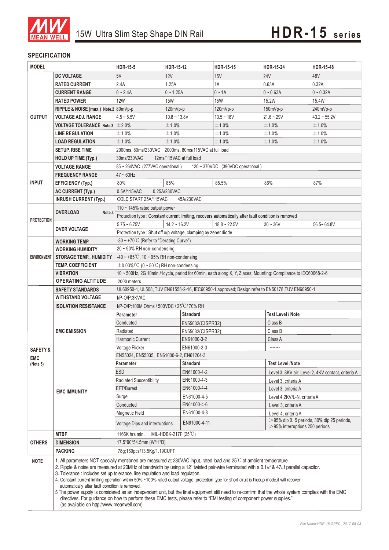

### **SPECIFICATION**

| <b>MODEL</b>        |                                      | <b>HDR-15-5</b>                                                                                                                                                                                                                                                                                                                                                                                                                                                                                                                                                                                                                                                                                                                                                                                                                                                                         | HDR-15-12                                                       | HDR-15-15                                                                                            | <b>HDR-15-24</b>                                   | <b>HDR-15-48</b>  |  |
|---------------------|--------------------------------------|-----------------------------------------------------------------------------------------------------------------------------------------------------------------------------------------------------------------------------------------------------------------------------------------------------------------------------------------------------------------------------------------------------------------------------------------------------------------------------------------------------------------------------------------------------------------------------------------------------------------------------------------------------------------------------------------------------------------------------------------------------------------------------------------------------------------------------------------------------------------------------------------|-----------------------------------------------------------------|------------------------------------------------------------------------------------------------------|----------------------------------------------------|-------------------|--|
|                     | <b>DC VOLTAGE</b>                    | 5V                                                                                                                                                                                                                                                                                                                                                                                                                                                                                                                                                                                                                                                                                                                                                                                                                                                                                      | 12V                                                             | 15V                                                                                                  | <b>24V</b>                                         | 48V               |  |
|                     | <b>RATED CURRENT</b>                 | 2.4A                                                                                                                                                                                                                                                                                                                                                                                                                                                                                                                                                                                                                                                                                                                                                                                                                                                                                    | 1.25A                                                           | 1A                                                                                                   | 0.63A                                              | 0.32A             |  |
|                     | <b>CURRENT RANGE</b>                 | $0 - 2.4A$                                                                                                                                                                                                                                                                                                                                                                                                                                                                                                                                                                                                                                                                                                                                                                                                                                                                              | $0 - 1.25A$                                                     | $0 \sim 1A$                                                                                          | $0 - 0.63A$                                        | $0 - 0.32A$       |  |
| <b>OUTPUT</b>       | <b>RATED POWER</b>                   | <b>12W</b>                                                                                                                                                                                                                                                                                                                                                                                                                                                                                                                                                                                                                                                                                                                                                                                                                                                                              | <b>15W</b>                                                      | <b>15W</b>                                                                                           | 15.2W                                              | 15.4W             |  |
|                     | RIPPLE & NOISE (max.) Note.2 80mVp-p |                                                                                                                                                                                                                                                                                                                                                                                                                                                                                                                                                                                                                                                                                                                                                                                                                                                                                         | 120mVp-p                                                        | 120mVp-p                                                                                             | $150mVp-p$                                         | 240mVp-p          |  |
|                     | <b>VOLTAGE ADJ. RANGE</b>            | $4.5 - 5.5V$                                                                                                                                                                                                                                                                                                                                                                                                                                                                                                                                                                                                                                                                                                                                                                                                                                                                            | $10.8 - 13.8V$                                                  | $13.5 - 18V$                                                                                         | $21.6 - 29V$                                       | $43.2 \sim 55.2V$ |  |
|                     | <b>VOLTAGE TOLERANCE Note.3</b>      | ±2.0%                                                                                                                                                                                                                                                                                                                                                                                                                                                                                                                                                                                                                                                                                                                                                                                                                                                                                   | ±1.0%                                                           | ±1.0%                                                                                                | ±1.0%                                              | ±1.0%             |  |
|                     | <b>LINE REGULATION</b>               | ±1.0%                                                                                                                                                                                                                                                                                                                                                                                                                                                                                                                                                                                                                                                                                                                                                                                                                                                                                   | ±1.0%                                                           | ±1.0%                                                                                                | ±1.0%                                              | ±1.0%             |  |
|                     | <b>LOAD REGULATION</b>               | ±1.0%                                                                                                                                                                                                                                                                                                                                                                                                                                                                                                                                                                                                                                                                                                                                                                                                                                                                                   | ±1.0%                                                           | ±1.0%                                                                                                | ±1.0%                                              | ±1.0%             |  |
|                     | <b>SETUP, RISE TIME</b>              |                                                                                                                                                                                                                                                                                                                                                                                                                                                                                                                                                                                                                                                                                                                                                                                                                                                                                         | 2000ms, 80ms/230VAC 2000ms, 80ms/115VAC at full load            |                                                                                                      |                                                    |                   |  |
|                     | <b>HOLD UP TIME (Typ.)</b>           | 12ms/115VAC at full load<br>30ms/230VAC                                                                                                                                                                                                                                                                                                                                                                                                                                                                                                                                                                                                                                                                                                                                                                                                                                                 |                                                                 |                                                                                                      |                                                    |                   |  |
|                     | <b>VOLTAGE RANGE</b>                 | 85 ~ 264VAC (277VAC operational)<br>120 ~ 370VDC (390VDC operational)                                                                                                                                                                                                                                                                                                                                                                                                                                                                                                                                                                                                                                                                                                                                                                                                                   |                                                                 |                                                                                                      |                                                    |                   |  |
|                     | <b>FREQUENCY RANGE</b>               | $47 \sim 63$ Hz                                                                                                                                                                                                                                                                                                                                                                                                                                                                                                                                                                                                                                                                                                                                                                                                                                                                         |                                                                 |                                                                                                      |                                                    |                   |  |
| <b>INPUT</b>        | <b>EFFICIENCY (Typ.)</b>             | 80%                                                                                                                                                                                                                                                                                                                                                                                                                                                                                                                                                                                                                                                                                                                                                                                                                                                                                     | 85%                                                             | 85.5%                                                                                                | 86%                                                | 87%               |  |
|                     | <b>AC CURRENT (Typ.)</b>             | 0.5A/115VAC                                                                                                                                                                                                                                                                                                                                                                                                                                                                                                                                                                                                                                                                                                                                                                                                                                                                             | 0.25A/230VAC                                                    |                                                                                                      |                                                    |                   |  |
|                     | <b>INRUSH CURRENT (Typ.)</b>         | COLD START 25A/115VAC<br>45A/230VAC                                                                                                                                                                                                                                                                                                                                                                                                                                                                                                                                                                                                                                                                                                                                                                                                                                                     |                                                                 |                                                                                                      |                                                    |                   |  |
|                     |                                      | 110 $\sim$ 145% rated output power                                                                                                                                                                                                                                                                                                                                                                                                                                                                                                                                                                                                                                                                                                                                                                                                                                                      |                                                                 |                                                                                                      |                                                    |                   |  |
|                     | <b>OVERLOAD</b><br>Note.4            |                                                                                                                                                                                                                                                                                                                                                                                                                                                                                                                                                                                                                                                                                                                                                                                                                                                                                         |                                                                 | Protection type : Constant current limiting, recovers automatically after fault condition is removed |                                                    |                   |  |
| <b>PROTECTION</b>   | <b>OVER VOLTAGE</b>                  | $5.75 - 6.75V$                                                                                                                                                                                                                                                                                                                                                                                                                                                                                                                                                                                                                                                                                                                                                                                                                                                                          | $14.2 \sim 16.2V$                                               | $18.8 - 22.5V$                                                                                       | $30 - 36V$                                         | 56.5~64.8V        |  |
|                     |                                      |                                                                                                                                                                                                                                                                                                                                                                                                                                                                                                                                                                                                                                                                                                                                                                                                                                                                                         | Protection type : Shut off o/p voltage, clamping by zener diode |                                                                                                      |                                                    |                   |  |
|                     | <b>WORKING TEMP.</b>                 | -30 ~ +70 $^{\circ}$ C (Refer to "Derating Curve")                                                                                                                                                                                                                                                                                                                                                                                                                                                                                                                                                                                                                                                                                                                                                                                                                                      |                                                                 |                                                                                                      |                                                    |                   |  |
|                     | <b>WORKING HUMIDITY</b>              |                                                                                                                                                                                                                                                                                                                                                                                                                                                                                                                                                                                                                                                                                                                                                                                                                                                                                         | 20~90% RH non-condensing                                        |                                                                                                      |                                                    |                   |  |
| <b>ENVIRONMENT</b>  | <b>STORAGE TEMP., HUMIDITY</b>       | -40 ~ +85°C, 10 ~ 95% RH non-condensing                                                                                                                                                                                                                                                                                                                                                                                                                                                                                                                                                                                                                                                                                                                                                                                                                                                 |                                                                 |                                                                                                      |                                                    |                   |  |
|                     | <b>TEMP, COEFFICIENT</b>             | $\pm$ 0.03%/°C (0 ~ 50°C) RH non-condensing                                                                                                                                                                                                                                                                                                                                                                                                                                                                                                                                                                                                                                                                                                                                                                                                                                             |                                                                 |                                                                                                      |                                                    |                   |  |
|                     | <b>VIBRATION</b>                     | 10 ~ 500Hz, 2G 10min./1cycle, period for 60min. each along X, Y, Z axes; Mounting: Compliance to IEC60068-2-6                                                                                                                                                                                                                                                                                                                                                                                                                                                                                                                                                                                                                                                                                                                                                                           |                                                                 |                                                                                                      |                                                    |                   |  |
|                     | <b>OPERATING ALTITUDE</b>            | 2000 meters                                                                                                                                                                                                                                                                                                                                                                                                                                                                                                                                                                                                                                                                                                                                                                                                                                                                             |                                                                 |                                                                                                      |                                                    |                   |  |
|                     | <b>SAFETY STANDARDS</b>              | UL60950-1, UL508, TUV EN61558-2-16, IEC60950-1 approved; Design refer to EN50178, TUV EN60950-1                                                                                                                                                                                                                                                                                                                                                                                                                                                                                                                                                                                                                                                                                                                                                                                         |                                                                 |                                                                                                      |                                                    |                   |  |
|                     | <b>WITHSTAND VOLTAGE</b>             | I/P-O/P:3KVAC                                                                                                                                                                                                                                                                                                                                                                                                                                                                                                                                                                                                                                                                                                                                                                                                                                                                           |                                                                 |                                                                                                      |                                                    |                   |  |
|                     | <b>ISOLATION RESISTANCE</b>          | I/P-O/P:100M Ohms / 500VDC / 25°C/70% RH                                                                                                                                                                                                                                                                                                                                                                                                                                                                                                                                                                                                                                                                                                                                                                                                                                                |                                                                 |                                                                                                      |                                                    |                   |  |
|                     | <b>EMC EMISSION</b>                  | <b>Standard</b><br>Parameter                                                                                                                                                                                                                                                                                                                                                                                                                                                                                                                                                                                                                                                                                                                                                                                                                                                            |                                                                 |                                                                                                      | <b>Test Level / Note</b>                           |                   |  |
|                     |                                      | Conducted                                                                                                                                                                                                                                                                                                                                                                                                                                                                                                                                                                                                                                                                                                                                                                                                                                                                               | EN55032(CISPR32)                                                |                                                                                                      | Class B                                            |                   |  |
|                     |                                      | Radiated                                                                                                                                                                                                                                                                                                                                                                                                                                                                                                                                                                                                                                                                                                                                                                                                                                                                                | EN55032(CISPR32)                                                |                                                                                                      | Class B                                            |                   |  |
|                     |                                      | Harmonic Current                                                                                                                                                                                                                                                                                                                                                                                                                                                                                                                                                                                                                                                                                                                                                                                                                                                                        | EN61000-3-2                                                     |                                                                                                      | Class A                                            |                   |  |
| <b>SAFETY &amp;</b> |                                      | Voltage Flicker<br>EN61000-3-3<br>-------                                                                                                                                                                                                                                                                                                                                                                                                                                                                                                                                                                                                                                                                                                                                                                                                                                               |                                                                 |                                                                                                      |                                                    |                   |  |
| <b>EMC</b>          | <b>EMC IMMUNITY</b>                  | EN55024, EN55035, EN61000-6-2, EN61204-3                                                                                                                                                                                                                                                                                                                                                                                                                                                                                                                                                                                                                                                                                                                                                                                                                                                |                                                                 |                                                                                                      |                                                    |                   |  |
| (Note 5)            |                                      | <b>Standard</b><br>Parameter                                                                                                                                                                                                                                                                                                                                                                                                                                                                                                                                                                                                                                                                                                                                                                                                                                                            |                                                                 |                                                                                                      | <b>Test Level /Note</b>                            |                   |  |
|                     |                                      | <b>ESD</b>                                                                                                                                                                                                                                                                                                                                                                                                                                                                                                                                                                                                                                                                                                                                                                                                                                                                              | EN61000-4-2                                                     |                                                                                                      | Level 3, 8KV air; Level 2, 4KV contact, criteria A |                   |  |
|                     |                                      | Radiated Susceptibility                                                                                                                                                                                                                                                                                                                                                                                                                                                                                                                                                                                                                                                                                                                                                                                                                                                                 | EN61000-4-3                                                     |                                                                                                      | Level 3, criteria A                                |                   |  |
|                     |                                      | EFT/Burest                                                                                                                                                                                                                                                                                                                                                                                                                                                                                                                                                                                                                                                                                                                                                                                                                                                                              | EN61000-4-4                                                     |                                                                                                      | Level 3, criteria A                                |                   |  |
|                     |                                      | EN61000-4-5<br>Surge                                                                                                                                                                                                                                                                                                                                                                                                                                                                                                                                                                                                                                                                                                                                                                                                                                                                    |                                                                 | Level 4,2KV/L-N, criteria A                                                                          |                                                    |                   |  |
|                     |                                      | EN61000-4-6<br>Conducted                                                                                                                                                                                                                                                                                                                                                                                                                                                                                                                                                                                                                                                                                                                                                                                                                                                                |                                                                 |                                                                                                      | Level 3, criteria A                                |                   |  |
|                     |                                      | EN61000-4-8<br>Magnetic Field                                                                                                                                                                                                                                                                                                                                                                                                                                                                                                                                                                                                                                                                                                                                                                                                                                                           |                                                                 | Level 4, criteria A                                                                                  |                                                    |                   |  |
|                     |                                      | EN61000-4-11<br>Voltage Dips and interruptions                                                                                                                                                                                                                                                                                                                                                                                                                                                                                                                                                                                                                                                                                                                                                                                                                                          |                                                                 | $>95\%$ dip 0. 5 periods, 30% dip 25 periods,<br>$>$ 95% interruptions 250 periods                   |                                                    |                   |  |
| <b>OTHERS</b>       | <b>MTBF</b>                          | 1166K hrs min.<br>MIL-HDBK-217F $(25^{\circ}C)$                                                                                                                                                                                                                                                                                                                                                                                                                                                                                                                                                                                                                                                                                                                                                                                                                                         |                                                                 |                                                                                                      |                                                    |                   |  |
|                     | <b>DIMENSION</b>                     | 17.5*90*54.5mm (W*H*D)                                                                                                                                                                                                                                                                                                                                                                                                                                                                                                                                                                                                                                                                                                                                                                                                                                                                  |                                                                 |                                                                                                      |                                                    |                   |  |
|                     | <b>PACKING</b>                       | 78g;160pcs/13.5Kg/1.19CUFT                                                                                                                                                                                                                                                                                                                                                                                                                                                                                                                                                                                                                                                                                                                                                                                                                                                              |                                                                 |                                                                                                      |                                                    |                   |  |
| <b>NOTE</b>         |                                      | 1. All parameters NOT specially mentioned are measured at 230VAC input, rated load and 25°C of ambient temperature.<br>2. Ripple & noise are measured at 20MHz of bandwidth by using a 12" twisted pair-wire terminated with a 0.1µf & 47µf parallel capacitor.<br>3. Tolerance : includes set up tolerance, line regulation and load regulation.<br>4. Constant current limiting operation within 50% ~100% rated output voltage; protection type for short ciruit is hiccup mode, it will recover<br>automatically after fault condition is removed.<br>5. The power supply is considered as an independent unit, but the final equipment still need to re-confirm that the whole system complies with the EMC<br>directives. For guidance on how to perform these EMC tests, please refer to "EMI testing of component power supplies."<br>(as available on http://www.meanwell.com) |                                                                 |                                                                                                      |                                                    |                   |  |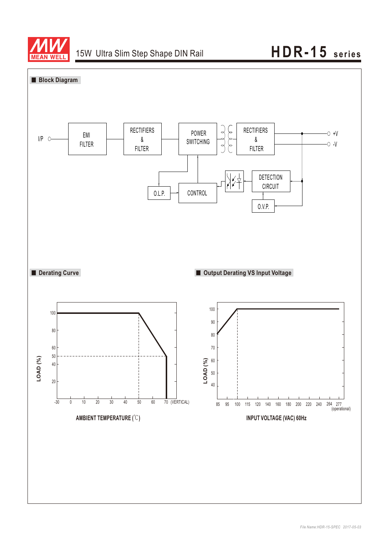